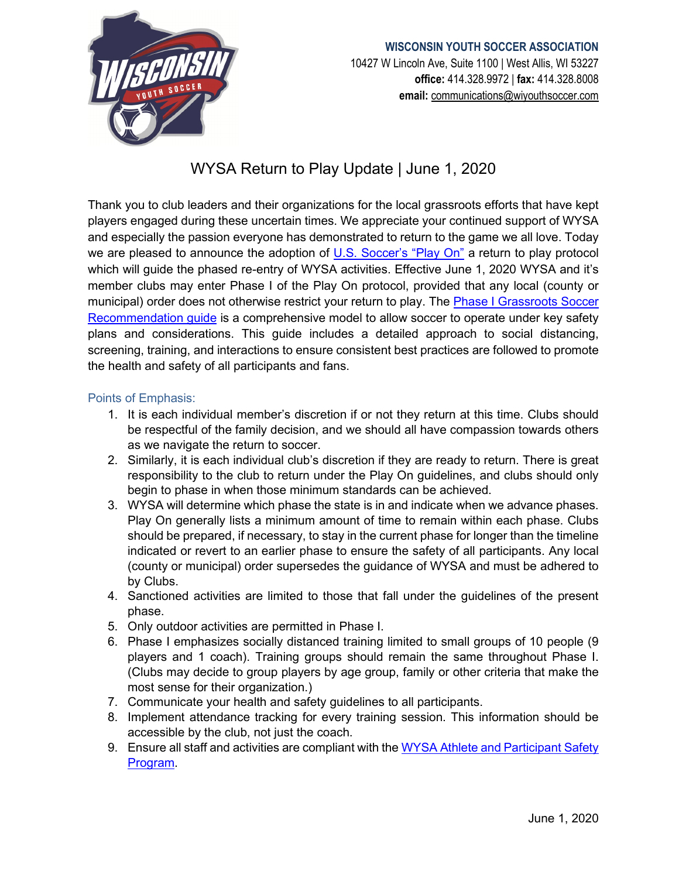

## **WISCONSIN YOUTH SOCCER ASSOCIATION** 10427 W Lincoln Ave, Suite 1100 | West Allis, WI 53227 **office:** 414.328.9972 | **fax:** 414.328.8008 **email:** [communications@wiyouthsoccer.com](mailto:communications@wiyouthsoccer.com)

# WYSA Return to Play Update | June 1, 2020

Thank you to club leaders and their organizations for the local grassroots efforts that have kept players engaged during these uncertain times. We appreciate your continued support of WYSA and especially the passion everyone has demonstrated to return to the game we all love. Today we are pleased to announce the adoption of [U.S. Soccer's "Play On"](https://www.ussoccer.com/playon/guides) a return to play protocol which will guide the phased re-entry of WYSA activities. Effective June 1, 2020 WYSA and it's member clubs may enter Phase I of the Play On protocol, provided that any local (county or municipal) order does not otherwise restrict your return to play. The **Phase I Grassroots Soccer** [Recommendation guide](https://www.ussoccer.com/playon/guides/phase-1-grassroots) is a comprehensive model to allow soccer to operate under key safety plans and considerations. This guide includes a detailed approach to social distancing, screening, training, and interactions to ensure consistent best practices are followed to promote the health and safety of all participants and fans.

#### Points of Emphasis:

- 1. It is each individual member's discretion if or not they return at this time. Clubs should be respectful of the family decision, and we should all have compassion towards others as we navigate the return to soccer.
- 2. Similarly, it is each individual club's discretion if they are ready to return. There is great responsibility to the club to return under the Play On guidelines, and clubs should only begin to phase in when those minimum standards can be achieved.
- 3. WYSA will determine which phase the state is in and indicate when we advance phases. Play On generally lists a minimum amount of time to remain within each phase. Clubs should be prepared, if necessary, to stay in the current phase for longer than the timeline indicated or revert to an earlier phase to ensure the safety of all participants. Any local (county or municipal) order supersedes the guidance of WYSA and must be adhered to by Clubs.
- 4. Sanctioned activities are limited to those that fall under the guidelines of the present phase.
- 5. Only outdoor activities are permitted in Phase I.
- 6. Phase I emphasizes socially distanced training limited to small groups of 10 people (9 players and 1 coach). Training groups should remain the same throughout Phase I. (Clubs may decide to group players by age group, family or other criteria that make the most sense for their organization.)
- 7. Communicate your health and safety guidelines to all participants.
- 8. Implement attendance tracking for every training session. This information should be accessible by the club, not just the coach.
- 9. Ensure all staff and activities are compliant with the WYSA Athlete and Participant Safety [Program.](https://www.wiyouthsoccer.com/member-services/athlete-participant-safety-program/)